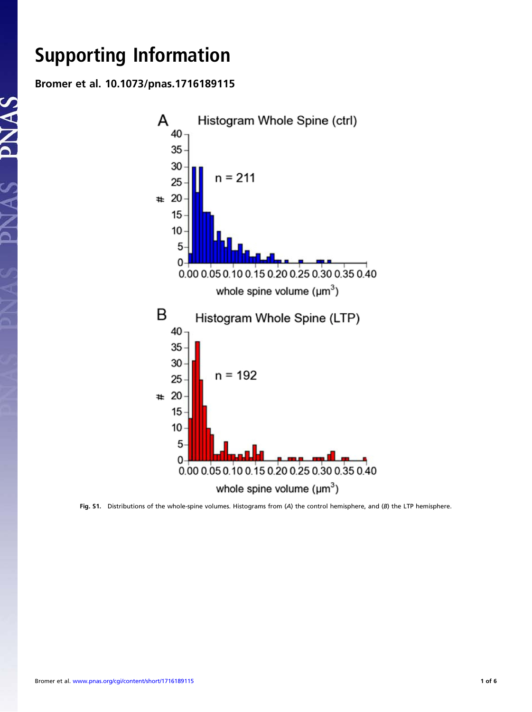Support the Information of the Information of the Information of the Information of the Information of the Information of the Information of the Information of the Information of the Information of the Information of the I Bromer et al. 10.1073/pnas.1716189115

DN AC



Fig. S1. Distributions of the whole-spine volumes. Histograms from (A) the control hemisphere, and (B) the LTP hemisphere.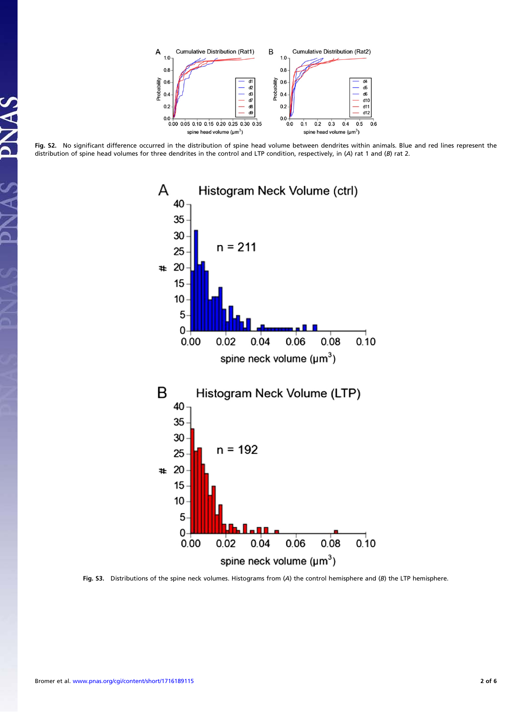

Fig. S2. No significant difference occurred in the distribution of spine head volume between dendrites within animals. Blue and red lines represent the distribution of spine head volumes for three dendrites in the control and LTP condition, respectively, in (A) rat 1 and (B) rat 2.



Fig. S3. Distributions of the spine neck volumes. Histograms from (A) the control hemisphere and (B) the LTP hemisphere.

 $\frac{c}{\Delta}$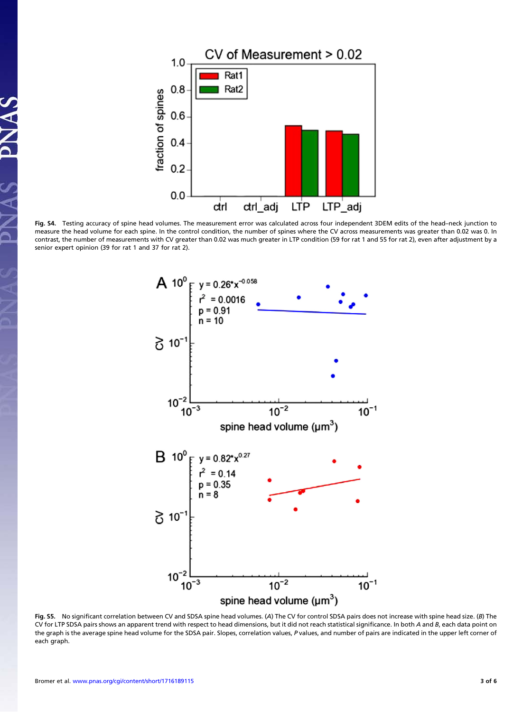

Fig. S4. Testing accuracy of spine head volumes. The measurement error was calculated across four independent 3DEM edits of the head–neck junction to measure the head volume for each spine. In the control condition, the number of spines where the CV across measurements was greater than 0.02 was 0. In contrast, the number of measurements with CV greater than 0.02 was much greater in LTP condition (59 for rat 1 and 55 for rat 2), even after adjustment by a senior expert opinion (39 for rat 1 and 37 for rat 2).



Fig. S5. No significant correlation between CV and SDSA spine head volumes. (A) The CV for control SDSA pairs does not increase with spine head size. (B) The CV for LTP SDSA pairs shows an apparent trend with respect to head dimensions, but it did not reach statistical significance. In both A and B, each data point on the graph is the average spine head volume for the SDSA pair. Slopes, correlation values, P values, and number of pairs are indicated in the upper left corner of each graph.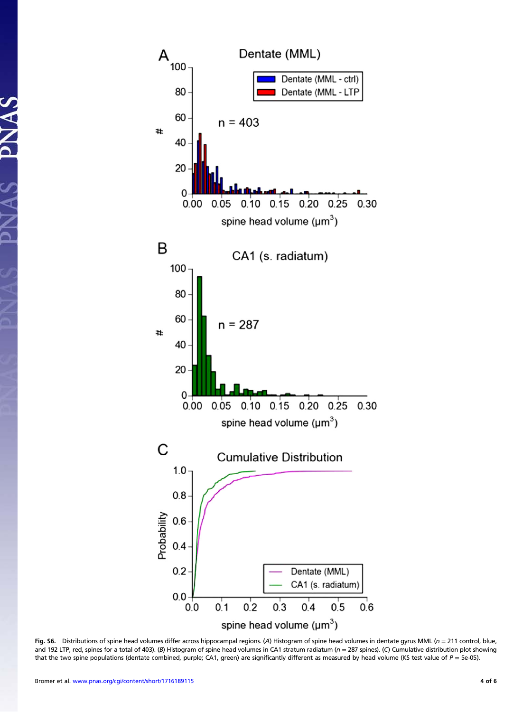

Fig. S6. Distributions of spine head volumes differ across hippocampal regions. (A) Histogram of spine head volumes in dentate gyrus MML (n = 211 control, blue, and 192 LTP, red, spines for a total of 403). (B) Histogram of spine head volumes in CA1 stratum radiatum ( $n = 287$  spines). (C) Cumulative distribution plot showing that the two spine populations (dentate combined, purple; CA1, green) are significantly different as measured by head volume (KS test value of  $P = 5e$ -05).

AS PNAS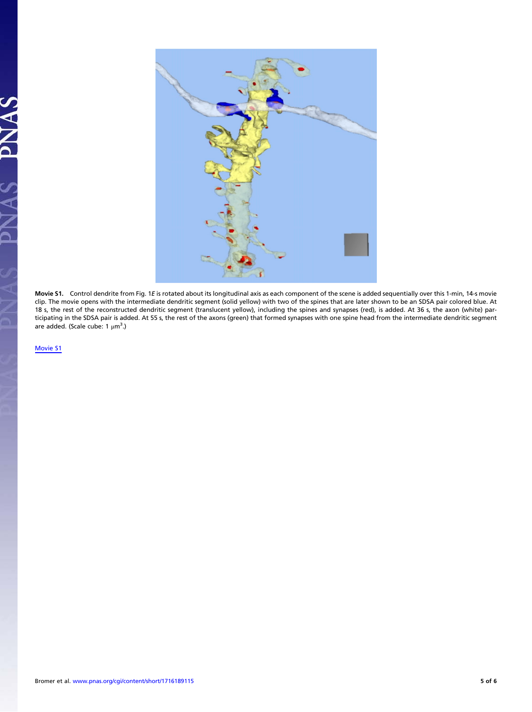

Movie S1. Control dendrite from Fig. 1<sup>E</sup> is rotated about its longitudinal axis as each component of the scene is added sequentially over this 1-min, 14-s movie clip. The movie opens with the intermediate dendritic segment (solid yellow) with two of the spines that are later shown to be an SDSA pair colored blue. At 18 s, the rest of the reconstructed dendritic segment (translucent yellow), including the spines and synapses (red), is added. At 36 s, the axon (white) participating in the SDSA pair is added. At 55 s, the rest of the axons (green) that formed synapses with one spine head from the intermediate dendritic segment are added. (Scale cube: 1 μm<sup>3</sup>.)

[Movie S1](http://movie-usa.glencoesoftware.com/video/10.1073/pnas.1716189115/video-1)

 $\overline{\mathbf{A}}$